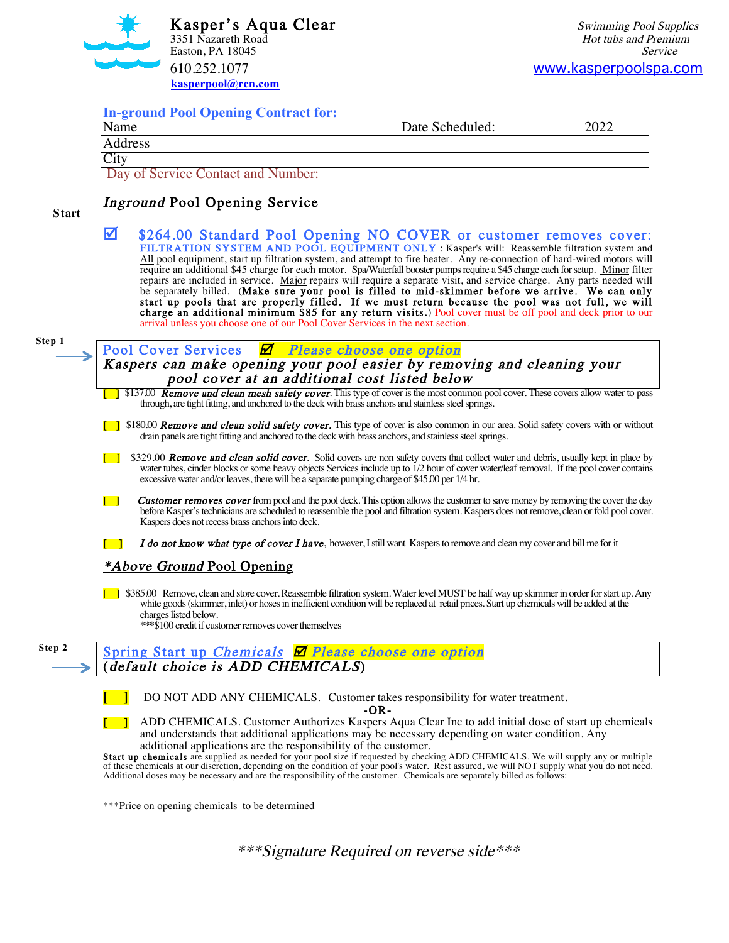

| <b>In-ground Pool Opening Contract for:</b><br>Name | Date Scheduled: | 2022 |
|-----------------------------------------------------|-----------------|------|
| Address                                             |                 |      |
| City                                                |                 |      |

### Inground Pool Opening Service

**Start**

 $\blacktriangledown$  \$264.00 Standard Pool Opening NO COVER or customer removes cover: FILTRATION SYSTEM AND POOL EQUIPMENT ONLY : Kasper's will: Reassemble filtration system and All pool equipment, start up filtration system, and attempt to fire heater. Any re-connection of hard-wired motors will require an additional \$45 charge for each motor. Spa/Waterfall booster pumps require a \$45 charge each for setup. Minor filter repairs are included in service. Major repairs will require a separate visit, and service charge. Any parts needed will be separately billed. (Make sure your pool is filled to mid-skimmer before we arrive. We can only start up pools that are properly filled. If we must return because the pool was not full, we will charge an additional minimum \$85 for any return visits.) Pool cover must be off pool and deck prior to our arrival unless you choose one of our Pool Cover Services in the next section.

**Step 1**

Pool Cover Services  $\Box$  Please choose one option

Kaspers can make opening your pool easier by removing and cleaning your pool cover at an additional cost listed below

**[** \$137.00 **Remove and clean mesh safety cover**. This type of cover is the most common pool cover. These covers allow water to pass through, are tight fitting, and anchored to the deck with brass anchors and stainless steel springs.

- [ ] \$180.00 **Remove and clean solid safety cover.** This type of cover is also common in our area. Solid safety covers with or without drain panels are tight fitting and anchored to the deck with brass anchors, and stainless steel springs.
- **[ ]** \$329.00 **Remove and clean solid cover**. Solid covers are non safety covers that collect water and debris, usually kept in place by water tubes, cinder blocks or some heavy objects Services include up to 1/2 hour of cover water/leaf removal. If the pool cover contains excessive water and/or leaves, there will be a separate pumping charge of \$45.00 per 1/4 hr.
- **[ ] Customer removes cover** from pool and the pool deck. This option allows the customer to save money by removing the cover the day before Kasper's technicians are scheduled to reassemble the pool and filtration system. Kaspers does not remove, clean or fold pool cover. Kaspers does not recess brass anchors into deck.
- I do not know what type of cover I have, however, I still want Kaspers to remove and clean my cover and bill me for it

#### \*Above Ground Pool Opening

[ ] \$385.00 Remove, clean and store cover. Reassemble filtration system. Water level MUST be half way up skimmer in order for start up. Any white goods (skimmer, inlet) or hoses in inefficient condition will be replaced at retail prices. Start up chemicals will be added at the charges listed below.

\*\*\*\$100 credit if customer removes cover themselves



DO NOT ADD ANY CHEMICALS. Customer takes responsibility for water treatment.

-OR-

[ ] ADD CHEMICALS. Customer Authorizes Kaspers Aqua Clear Inc to add initial dose of start up chemicals and understands that additional applications may be necessary depending on water condition. Any additional applications are the responsibility of the customer.

Start up chemicals are supplied as needed for your pool size if requested by checking ADD CHEMICALS. We will supply any or multiple of these chemicals at our discretion, depending on the condition of your pool's water. Rest assured, we will NOT supply what you do not need. Additional doses may be necessary and are the responsibility of the customer. Chemicals are separately billed as follows:

\*\*\*Price on opening chemicals to be determined

\*\*\*Signature Required on reverse side\*\*\*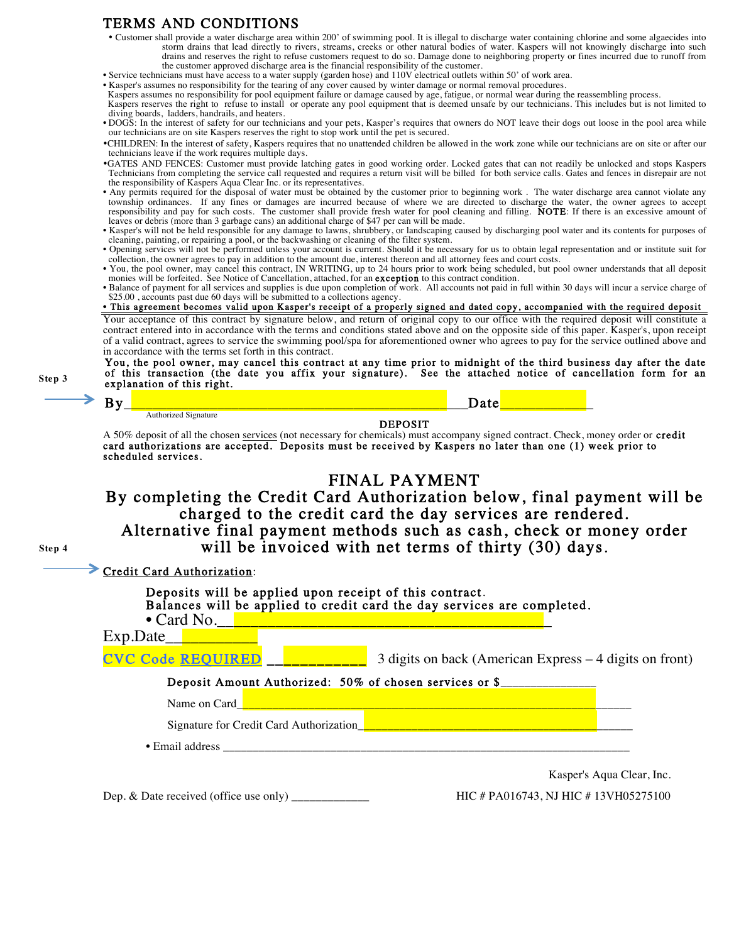#### TERMS AND CONDITIONS

**Step 3**

" Customer shall provide a water discharge area within 200' of swimming pool. It is illegal to discharge water containing chlorine and some algaecides into storm drains that lead directly to rivers, streams, creeks or other natural bodies of water. Kaspers will not knowingly discharge into such drains and reserves the right to refuse customers request to do so. Damage done to neighboring property or fines incurred due to runoff from the customer approved discharge area is the financial responsibility of the customer.

• Service technicians must have access to a water supply (garden hose) and 110V electrical outlets within 50' of work area.

• Kasper's assumes no responsibility for the tearing of any cover caused by winter damage or normal removal procedures.<br>Kaspers assumes no responsibility for pool equipment failure or damage caused by age, fatigue, or norm

Kaspers reserves the right to refuse to install or operate any pool equipment that is deemed unsafe by our technicians. This includes but is not limited to diving boards, ladders, handrails, and heaters.

• DOGS: In the interest of safety for our technicians and your pets, Kasper's requires that owners do NOT leave their dogs out loose in the pool area while our technicians are on site Kaspers reserves the right to stop work until the pet is secured.

- "CHILDREN: In the interest of safety, Kaspers requires that no unattended children be allowed in the work zone while our technicians are on site or after our technicians leave if the work requires multiple days.
- "GATES AND FENCES: Customer must provide latching gates in good working order. Locked gates that can not readily be unlocked and stops Kaspers Technicians from completing the service call requested and requires a return visit will be billed for both service calls. Gates and fences in disrepair are not the responsibility of Kaspers Aqua Clear Inc. or its representatives.
- Any permits required for the disposal of water must be obtained by the customer prior to beginning work . The water discharge area cannot violate any township ordinances. If any fines or damages are incurred because of where we are directed to discharge the water, the owner agrees to accept responsibility and pay for such costs. The customer shall provide fresh water fo leaves or debris (more than 3 garbage cans) an additional charge of \$47 per can will be made.
- Kasper's will not be held responsible for any damage to lawns, shrubbery, or landscaping caused by discharging pool water and its contents for purposes of cleaning, painting, or repairing a pool, or the backwashing or cleaning of the filter system.
- Opening services will not be performed unless your account is current. Should it be necessary for us to obtain legal representation and or institute suit for
- collection, the owner agrees to pay in addition to the amount due, interest thereon and all attorney fees and court costs.<br>• You, the pool owner, may cancel this contract, IN WRITING, up to 24 hours prior to work being sch monies will be forfeited. See Notice of Cancellation, attached, for an exception to this contract condition.
- Balance of payment for all services and supplies is due upon completion of work. All accounts not paid in full within 30 days will incur a service charge of \$25.00, accounts past due 60 days will be submitted to a collections agency.

• This agreement becomes valid upon Kasper's receipt of a properly signed and dated copy, accompanied with the required deposit

Your acceptance of this contract by signature below, and return of original copy to our office with the required deposit will constitute a contract entered into in accordance with the terms and conditions stated above and on the opposite side of this paper. Kasper's, upon receipt of a valid contract, agrees to service the swimming pool/spa for aforementioned owner who agrees to pay for the service outlined above and in accordance with the terms set forth in this contract.

You, the pool owner, may cancel this contract at any time prior to midnight of the third business day after the date of this transaction (the date you affix your signature). See the attached notice of cancellation form for an explanation of this right.

By\_\_\_\_\_\_\_\_\_\_\_\_\_\_\_\_\_\_\_\_\_\_\_\_\_\_\_\_\_\_\_\_\_\_\_\_\_\_\_\_\_\_\_\_\_\_\_\_Date\_\_\_\_\_\_\_\_\_\_\_\_\_ Authorized Signature DEPOSIT A 50% deposit of all the chosen services (not necessary for chemicals) must accompany signed contract. Check, money order or credit card authorizations are accepted. Deposits must be received by Kaspers no later than one (1) week prior to scheduled services. FINAL PAYMENT By completing the Credit Card Authorization below, final payment will be charged to the credit card the day services are rendered. Alternative final payment methods such as cash, check or money order will be invoiced with net terms of thirty (30) days. Credit Card Authorization: Deposits will be applied upon receipt of this contract. **Step 4**

|                                         | Balances will be applied to credit card the day services are completed. |
|-----------------------------------------|-------------------------------------------------------------------------|
| $\bullet$ Card No. $\parallel$          |                                                                         |
| Exp.Date                                |                                                                         |
| <b>CVC Code REQUIRED</b>                | 3 digits on back (American Express – 4 digits on front)                 |
|                                         | Deposit Amount Authorized: 50% of chosen services or \$                 |
| Name on Card                            |                                                                         |
| Signature for Credit Card Authorization |                                                                         |
| • Email address                         |                                                                         |
|                                         | Kasper's Aqua Clear, Inc.                                               |
|                                         | $\mu$ <sub>E</sub> $\mu$ DA016742. NJ HIC #12VH05275100                 |

Dep. & Date received (office use only) \_\_\_\_\_\_\_\_\_\_\_\_\_ HIC # PA016743, NJ HIC # 13VH05275100